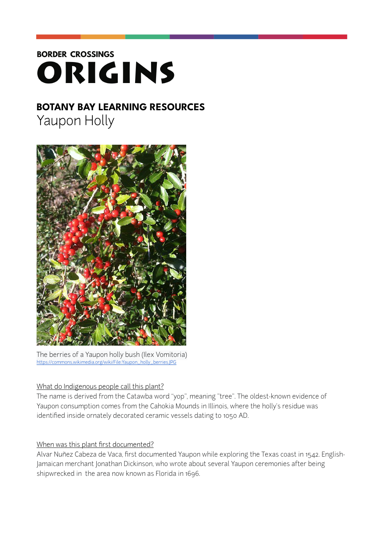# **BORDER CROSSINGS** ORIGINS

# **BOTANY BAY LEARNING RESOURCES**  Yaupon Holly



The berries of a Yaupon holly bush (Ilex Vomitoria) [https://commons.wikimedia.org/wiki/File:Yaupon\\_holly\\_berries.JPG](https://commons.wikimedia.org/wiki/File:Yaupon_holly_berries.JPG)

# What do Indigenous people call this plant?

The name is derived from the Catawba word "yop", meaning "tree". The oldest-known evidence of Yaupon consumption comes from the Cahokia Mounds in Illinois, where the holly's residue was identified inside ornately decorated ceramic vessels dating to 1050 AD.

# When was this plant first documented?

Alvar Nuñez Cabeza de Vaca, first documented Yaupon while exploring the Texas coast in 1542. English-Jamaican merchant Jonathan Dickinson, who wrote about several Yaupon ceremonies after being shipwrecked in the area now known as Florida in 1696.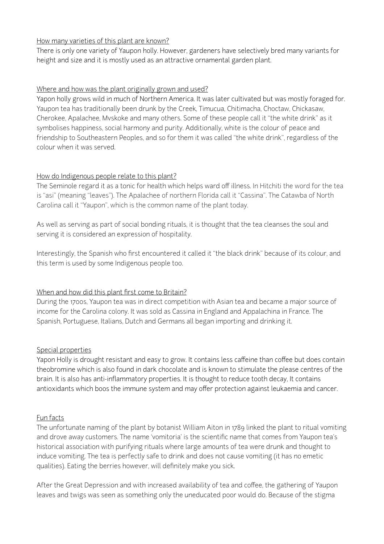#### How many varieties of this plant are known?

There is only one variety of Yaupon holly. However, gardeners have selectively bred many variants for height and size and it is mostly used as an attractive ornamental garden plant.

#### Where and how was the plant originally grown and used?

Yapon holly grows wild in much of Northern America. It was later cultivated but was mostly foraged for. Yaupon tea has traditionally been drunk by the Creek, Timucua, Chitimacha, Choctaw, Chickasaw, Cherokee, Apalachee, Mvskoke and many others. Some of these people call it "the white drink" as it symbolises happiness, social harmony and purity. Additionally, white is the colour of peace and friendship to Southeastern Peoples, and so for them it was called "the white drink", regardless of the colour when it was served.

#### How do Indigenous people relate to this plant?

The Seminole regard it as a tonic for health which helps ward off illness. In Hitchiti the word for the tea is "asi" (meaning "leaves"). The Apalachee of northern Florida call it "Cassina". The Catawba of North Carolina call it "Yaupon", which is the common name of the plant today.

As well as serving as part of social bonding rituals, it is thought that the tea cleanses the soul and serving it is considered an expression of hospitality.

Interestingly, the Spanish who first encountered it called it "the black drink" because of its colour, and this term is used by some Indigenous people too.

# When and how did this plant first come to Britain?

During the 1700s, Yaupon tea was in direct competition with Asian tea and became a major source of income for the Carolina colony. It was sold as Cassina in England and Appalachina in France. The Spanish, Portuguese, Italians, Dutch and Germans all began importing and drinking it.

#### Special properties

Yapon Holly is drought resistant and easy to grow. It contains less caffeine than coffee but does contain theobromine which is also found in dark chocolate and is known to stimulate the please centres of the brain. It is also has anti-inflammatory properties. It is thought to reduce tooth decay, It contains antioxidants which boos the immune system and may offer protection against leukaemia and cancer.

#### Fun facts

The unfortunate naming of the plant by botanist William Aiton in 1789 linked the plant to ritual vomiting and drove away customers. The name 'vomitoria' is the scientific name that comes from Yaupon tea's historical association with purifying rituals where large amounts of tea were drunk and thought to induce vomiting. The tea is perfectly safe to drink and does not cause vomiting (it has no emetic qualities). Eating the berries however, will definitely make you sick.

After the Great Depression and with increased availability of tea and coffee, the gathering of Yaupon leaves and twigs was seen as something only the uneducated poor would do. Because of the stigma